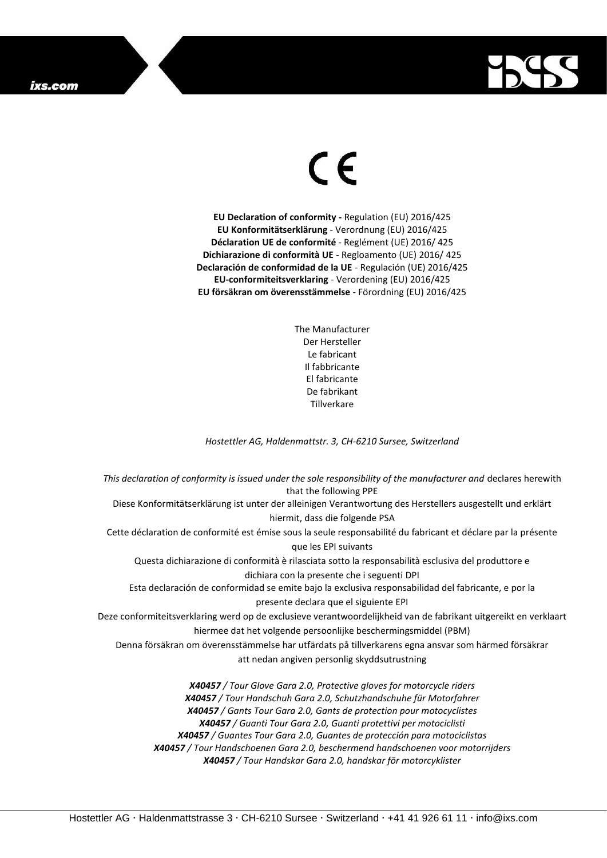

## $\epsilon$

**EU Declaration of conformity -** Regulation (EU) 2016/425 **EU Konformitätserklärung** - Verordnung (EU) 2016/425 **Déclaration UE de conformité** - Reglément (UE) 2016/ 425 **Dichiarazione di conformità UE** - Regloamento (UE) 2016/ 425 **Declaración de conformidad de la UE** - Regulación (UE) 2016/425 **EU-conformiteitsverklaring** - Verordening (EU) 2016/425 **EU försäkran om överensstämmelse** - Förordning (EU) 2016/425

> The Manufacturer Der Hersteller Le fabricant Il fabbricante El fabricante De fabrikant **Tillverkare**

*Hostettler AG, Haldenmattstr. 3, CH-6210 Sursee, Switzerland*

*This declaration of conformity is issued under the sole responsibility of the manufacturer and* declares herewith that the following PPE Diese Konformitätserklärung ist unter der alleinigen Verantwortung des Herstellers ausgestellt und erklärt hiermit, dass die folgende PSA Cette déclaration de conformité est émise sous la seule responsabilité du fabricant et déclare par la présente que les EPI suivants Questa dichiarazione di conformità è rilasciata sotto la responsabilità esclusiva del produttore e dichiara con la presente che i seguenti DPI Esta declaración de conformidad se emite bajo la exclusiva responsabilidad del fabricante, e por la presente declara que el siguiente EPI Deze conformiteitsverklaring werd op de exclusieve verantwoordelijkheid van de fabrikant uitgereikt en verklaart hiermee dat het volgende persoonlijke beschermingsmiddel (PBM) Denna försäkran om överensstämmelse har utfärdats på tillverkarens egna ansvar som härmed försäkrar att nedan angiven personlig skyddsutrustning *X40457 / Tour Glove Gara 2.0, Protective gloves for motorcycle riders X40457 / Tour Handschuh Gara 2.0, Schutzhandschuhe für Motorfahrer X40457 / Gants Tour Gara 2.0, Gants de protection pour motocyclistes X40457 / Guanti Tour Gara 2.0, Guanti protettivi per motociclisti*

*X40457 / Guantes Tour Gara 2.0, Guantes de protección para motociclistas*

*X40457 / Tour Handschoenen Gara 2.0, beschermend handschoenen voor motorrijders X40457 / Tour Handskar Gara 2.0, handskar för motorcyklister*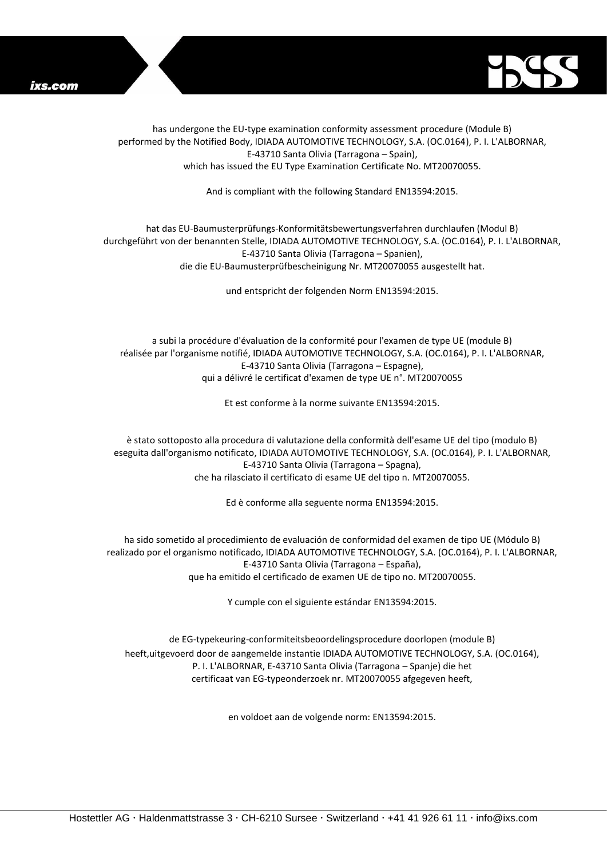



has undergone the EU-type examination conformity assessment procedure (Module B) performed by the Notified Body, IDIADA AUTOMOTIVE TECHNOLOGY, S.A. (OC.0164), P. I. L'ALBORNAR, E-43710 Santa Olivia (Tarragona – Spain), which has issued the EU Type Examination Certificate No. MT20070055.

And is compliant with the following Standard EN13594:2015.

## hat das EU-Baumusterprüfungs-Konformitätsbewertungsverfahren durchlaufen (Modul B) durchgeführt von der benannten Stelle, IDIADA AUTOMOTIVE TECHNOLOGY, S.A. (OC.0164), P. I. L'ALBORNAR, E-43710 Santa Olivia (Tarragona – Spanien), die die EU-Baumusterprüfbescheinigung Nr. MT20070055 ausgestellt hat.

und entspricht der folgenden Norm EN13594:2015.

a subi la procédure d'évaluation de la conformité pour l'examen de type UE (module B) réalisée par l'organisme notifié, IDIADA AUTOMOTIVE TECHNOLOGY, S.A. (OC.0164), P. I. L'ALBORNAR, E-43710 Santa Olivia (Tarragona – Espagne), qui a délivré le certificat d'examen de type UE n°. MT20070055

Et est conforme à la norme suivante EN13594:2015.

è stato sottoposto alla procedura di valutazione della conformità dell'esame UE del tipo (modulo B) eseguita dall'organismo notificato, IDIADA AUTOMOTIVE TECHNOLOGY, S.A. (OC.0164), P. I. L'ALBORNAR, E-43710 Santa Olivia (Tarragona – Spagna), che ha rilasciato il certificato di esame UE del tipo n. MT20070055.

Ed è conforme alla seguente norma EN13594:2015.

ha sido sometido al procedimiento de evaluación de conformidad del examen de tipo UE (Módulo B) realizado por el organismo notificado, IDIADA AUTOMOTIVE TECHNOLOGY, S.A. (OC.0164), P. I. L'ALBORNAR, E-43710 Santa Olivia (Tarragona – España), que ha emitido el certificado de examen UE de tipo no. MT20070055.

Y cumple con el siguiente estándar EN13594:2015.

de EG-typekeuring-conformiteitsbeoordelingsprocedure doorlopen (module B) heeft,uitgevoerd door de aangemelde instantie IDIADA AUTOMOTIVE TECHNOLOGY, S.A. (OC.0164), P. I. L'ALBORNAR, E-43710 Santa Olivia (Tarragona – Spanje) die het certificaat van EG-typeonderzoek nr. MT20070055 afgegeven heeft,

en voldoet aan de volgende norm: EN13594:2015.